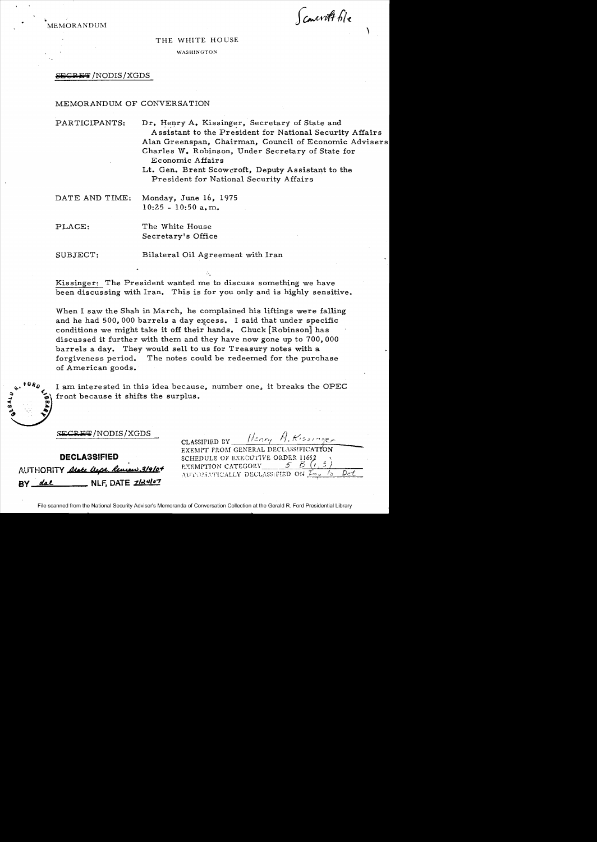•<br>እ ~EMORANDUM

Concrett file

 $\mathcal{L}_{\mathcal{L}}$ 

### THE WHITE HOUSE

WASHINGTON

 $S\!E\!G\!R\!E\!T/NODIS/XGDS$ 

### MEMORANDUM OF CONVERSATION

PARTICIPANTS: Dr. Henry A. Kissinger, Secretary of State and Assistant to the President for National Security Affairs Alan Greenspan, Chairman, Council of Economic Advisers Charles W. Robinson, Under Secretary of State for Economic Affairs

> Lt. Gen. Brent Scowcroft, Deputy Assistant to the President for National Security Affairs

DATE AND TIME: Monday, June 16, 1975 10:25 - 10:50 a.m.

PLACE: The White House Secretary's Office

SUBJECT: Bilateral Oil Agreement with Iran

Kissinger: The President wanted me to discuss something we have been discussing with Iran. This is for you only and is highly sensitive.

When I saw the Shah in March, he complained his liftings were falling and he had 500,000 barrels a day excess. I said that under specific conditions we might take it off their hands. Chuck [Robinson] has discussed it further with them and they have now gone up to 700,000 barrels a day. They would sell to us for Treasury notes with a forgiveness period. The notes could be redeemed for the purchase of American goods.

 $\frac{1}{2}$ \* Front because it shifts the shifts of the state of the state of the state of the state of the state of the state of the state of the state of the state of the state of the state of the state of the state of the state of

I am interested in this idea because, number one, it breaks the OPEC front because it shifts the surplus.

DECLASSIFIED AUTHORITY arete lesse, Review 3/9/0+ **BY** <u>dal</u> NLF, DATE *2124107* 

| CLASSIFIED BY Henry H. Kissinger     |  |
|--------------------------------------|--|
| EXEMPT FROM GENERAL DECLASSIFICATION |  |
| SCHEDULE OF EXECUTIVE ORDER 11652    |  |
| EXEMPTION CATEGORY                   |  |
| AUTOMATICALLY DECLASSIFIED ON Long   |  |

File scanned from the National Security Adviser's Memoranda of Conversation Collection at the Gerald R. Ford Presidential Library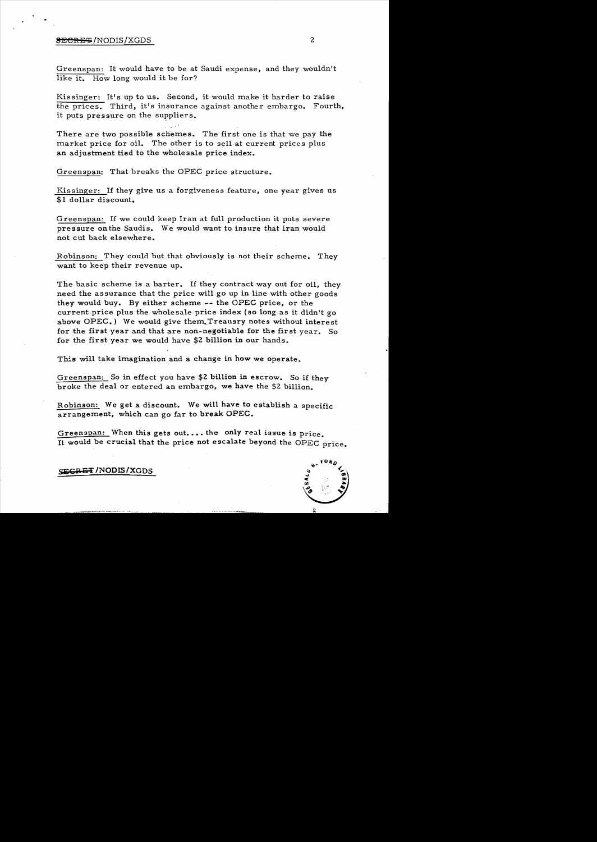# ~l!!CREq; /NODIS /XGDS 2

Greenspan: It would have to be at Saudi expense, and they wouldn't like it. How long would it be for?

Kis singer: It's up to us. Second, it would make it harder to raise the prices. Third, it's insurance against another embargo. Fourth, it puts pressure on the suppliers.

There are two possible schemes. The first one is that we pay the market price for oil. The other is to sell at current prices plus an adjustment tied to the wholesale price index.

Greenspan: That breaks the OPEC price structure.

Kissinger: If they give us a forgiveness feature, one year gives us \$1 dollar discount.

Greenspan: 1£ we could keep Iran at full production it puts severe pressure on the Saudis. We would want to insure that Iran would not cut back elsewhere.

Robinson: They could but that obviously is not their scheme. They want to keep their revenue up.

The basic scheme is a barter. If they contract way out for oil, they need the assurance that the price will go up in line with other goods they would buy. By either scheme -- the OPEC price, or the current price plus the wholesale price index (so long as it didn't go above  $OPEC$ .) We would give them. Treausry notes without interest for the first year and that are non-negotiable for the first year. So for the first year we would have \$2 billion in our hands.

This will take imagination and a change in how we operate.

Greenspan: So in effect you have \$2 billion in escrow. So if they broke the deal or entered an embargo, we have the \$2 billion.

Robinson: We get a discount. We will have to establish a specific arrangement, which can go far to break OPEC.

Greenspan: When this gets out.... the only real issue is price. It would be crucial that the price not escalate beyond the OPEC price.

SE<del>GRET</del> /NODIS/XGDS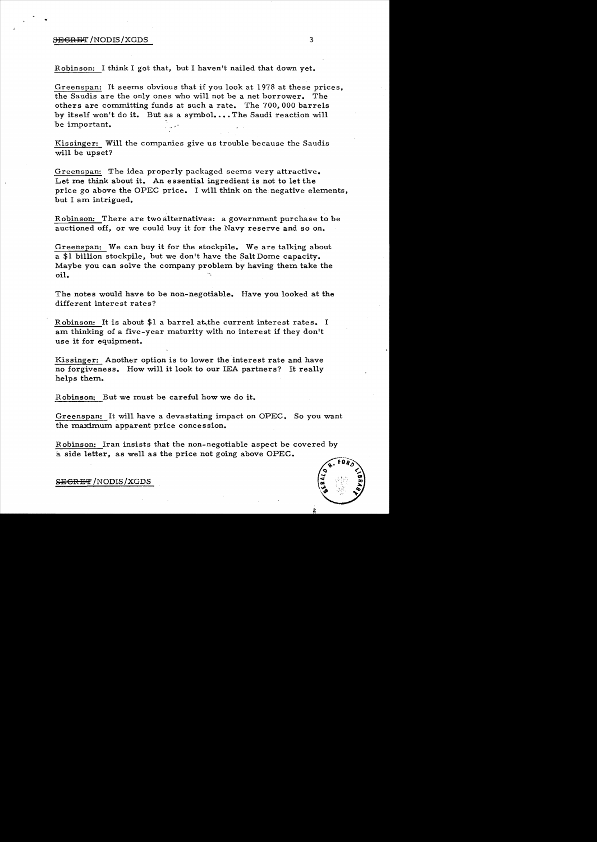# **SEGRET** /NODIS/XGDS 3

Robinson: I think I got that, but I haven't nailed that down yet.

Greenspan: It seems obvious that if you look at 1978 at these prices, the Saudis are the only ones who will not be a net borrower. The others are committing funds at such a rate. The 700,000 barrels by itself won't do it. But as a symbol.... The Saudi reaction will be important.

Kissinger: Will the companies give us trouble because the Saudis will be upset?

Greenspan: The idea properly packaged seems very attractive. Let me think about it. An essential ingredient is not to let the price go above the OPEC price. I will think on the negative elements, but I am intrigued.

Robinson: There are two alternatives: a government purchase to be auctioned off, or we could buy it for the Navy reserve and so on.

Greenspan: We can buy it for the stockpile. We are talking about a  $$1$  billion stockpile, but we don't have the Salt Dome capacity. Maybe you can solve the company problem by having them take the oil.

The notes would have to be non-negotiable. Have you looked at the different interest rates?

Robinson: It is about  $$1$  a barrel at the current interest rates. I am thinking of a five-year maturity with no interest if they don't use it for equipment.

Kissinger: Another option is to lower the interest rate and have no forgiveness. How will it look to our lEA partners? It really helps them.

Robinson: But we must be careful how we do it.

Greenspan: It will have a devastating impact on OPEC. So you want the maximum apparent price concession.

Robinson: Iran insists that the non-negotiable aspect be covered by a side letter, as well as the price not going above OPEC.

# **SEGRET** /NODIS/XGDS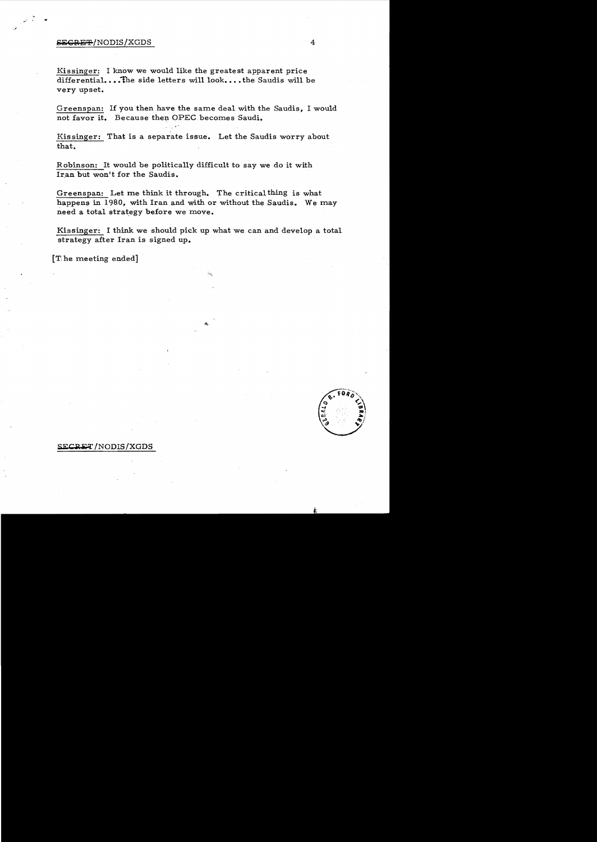## e:i: c;a;g,±,-!NODIS!XGDS 4

w

Kissinger: I know we would like the greatest apparent price differential....The side letters will look....the Saudis will be very upset.

Greenspan: If you then have the same deal with the Saudis. I would not favor it. Because then OPEC becomes Saudi.

Kissinger: That is a separate issue. Let the Saudis worry about that.

Robinson: It would be politically difficult to say we do it with Iran but won't for the Saudis.

Greenspan: Let me think it through. The critical thing is what happens in 1980, with Iran and with or without the Saudis. We may need a total strategy before we move.

Kissinger: I think we should pick up what we can and develop a total strategy after Iran is signed up.

 $\lceil$  The meeting ended]



# SECRET/NODIS/XGDS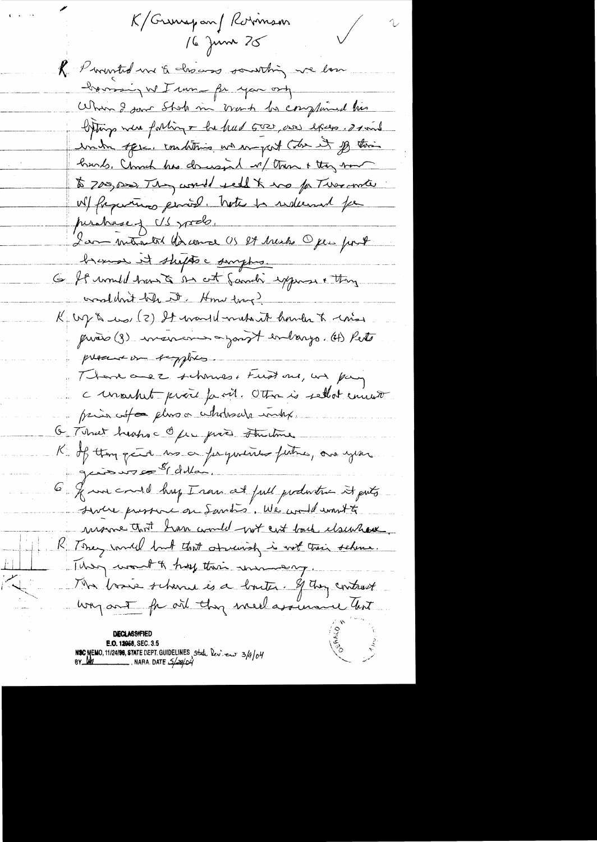K/Grunspan/Kormson 16 June 25 R. Promoted me & chocos southing we love have in I run fr you on When I saw Shok in work by complained his liftings were forting + be had GOD, are excep. I said under offse. conditions we want the it of their hunds, Charch has dones in 1 mm + they som to 700,000, They would sell to the father-mote . W/ fragmentinos permise. Note to sudemnt for purchase of US prob. Lam metalet de comme US 24 Marches Open pour # bremos it shofts a simphis. 6 ft unuled hand a out family express + they crossledont bele at Home tong? K up & us (2) It wanted make it hander to come quois (3) moisent après de largo. (4) Pets present on tappers. Thank are 2. schonnes, Fust one, and pay c unarhet proce parit. Otto is selled environ prior ut a plus a ututusule inkx. O That heaps of for give thinking K of thompete us a pequentes putre, one year 6 & we could hap I ran at full production it puts severe pressent on Santo, We would want to monne that han would not ent back elsewhave K Toney would but that observing is not their scheme. They would hay their money. Ma basie scheme ès a bouter. If they contrast way out for one they meet assume lost **DECLASSIFIED** E.O. 12958, SEC. 3.5 NSC MEMO, 11/24/98, STATE DEPT. GUIDELINES State leview 3/4/04<br>BY MO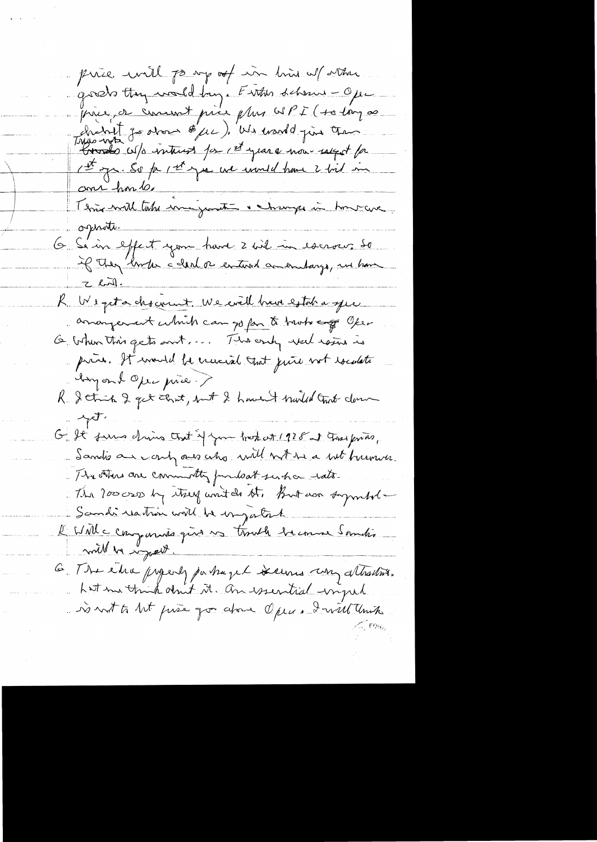price will po my of in him of other goods they would buy. Entre scheme - Ope prie, a comment prie plus WPI (+0 long 00 histoil de drois d'une de marde pour chan the p. So for the year we would have 2 bil me ame hondes Terrie will take inagrant a change in hour ave oprati-6 Sein effect your hard 2 wil in escrocer so <u>That J</u> R. We get a chockent. We eval brun estaba que amongement which can go fan to tract copy Open G when this gets and ... The endy well rains is price. It would be crucial that juice not rocalato hoyant Open pie. > R. Jetich 2 get court, but 2 hours t broaded tract down of the G It funs drive that if you trated 1928 at This princ, dandis an early ones who will not the a bit burnion. The others are commonly fundat such a rate. The 2000 cross by true won't do the But door superbol -Sandi reation will be important l'UNIC comparais que vo tisute de cours sometis will be injust. 6. The edic properly partnered serious un attractive. hat me think don't it. An issential input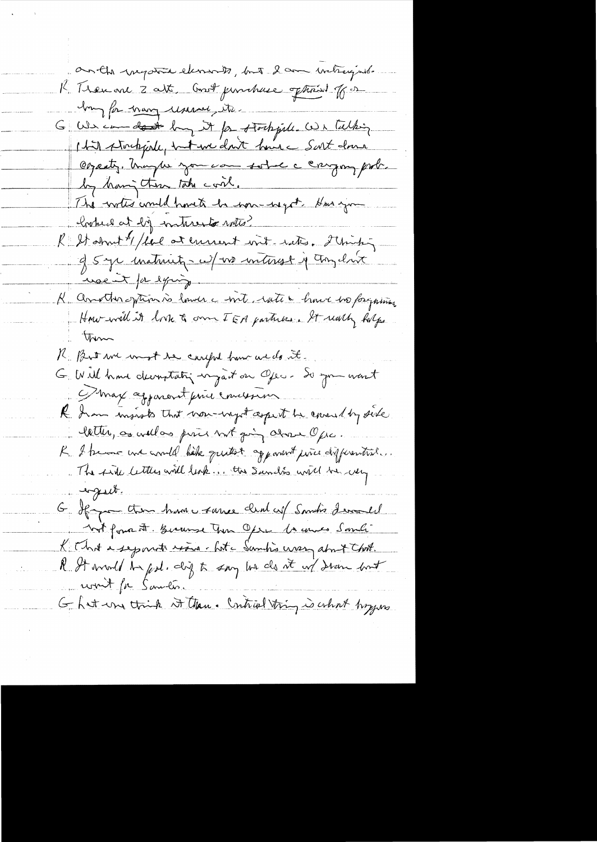anthousant elements, but 2 am intragnite R Then one 2 att, Const punchase options of or I'm for many usessed its G We can don't by it for stockfull. We talking 147 stockfish, <del>et un</del> dont house Sart donc Osparty, hungles you can sobre a cargon pode. by having these take cont. The writes would havete be some useft that you hyber at by interests with? R Stamt / five at ennent int rate. Thinks usent parlying. K another externs is lawer a with rate a line i dos forgains. How will it look & own IEA parties. It will holps Them K. But we want the careful how we do it. G Will have decoratating ingait on Open. De you wont D'max aggarent prince mussin R. Iron moists that non-negot aspect he could by side letter, as well as price but going above Opic. R. I trave une availe habe quitet apparent price differential. . The sink letters will look ... the Sundis will be using engesch. G Happen them have same clear up Samin's devomed not forma Ft. Bernse Tun Opre 10 years Sandi K That a separate rises. Let a Sambis was about that. R. It would be god. dig to say he do it of draw but won't for Sametis. Ghat une think it than. Contrad thing is what hoppes